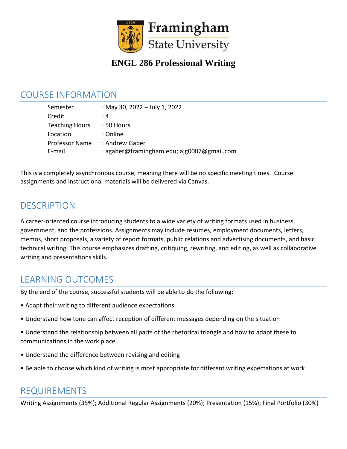

## **ENGL 286 Professional Writing**

#### COURSE INFORMATION

| Semester              | : May 30, 2022 - July 1, 2022              |
|-----------------------|--------------------------------------------|
| Credit                | : 4                                        |
| <b>Teaching Hours</b> | $:50$ Hours                                |
| Location              | : Online                                   |
| <b>Professor Name</b> | : Andrew Gaber                             |
| E-mail                | : agaber@framingham.edu; ajg0007@gmail.com |

This is a completely asynchronous course, meaning there will be no specific meeting times. Course assignments and instructional materials will be delivered via Canvas.

## DESCRIPTION

A career-oriented course introducing students to a wide variety of writing formats used in business, government, and the professions. Assignments may include resumes, employment documents, letters, memos, short proposals, a variety of report formats, public relations and advertising documents, and basic technical writing. This course emphasizes drafting, critiquing, rewriting, and editing, as well as collaborative writing and presentations skills.

## LEARNING OUTCOMES

By the end of the course, successful students will be able to do the following:

- Adapt their writing to different audience expectations
- Understand how tone can affect reception of different messages depending on the situation
- Understand the relationship between all parts of the rhetorical triangle and how to adapt these to communications in the work place
- Understand the difference between revising and editing
- Be able to choose which kind of writing is most appropriate for different writing expectations at work

#### REQUIREMENTS

Writing Assignments (35%); Additional Regular Assignments (20%); Presentation (15%); Final Portfolio (30%)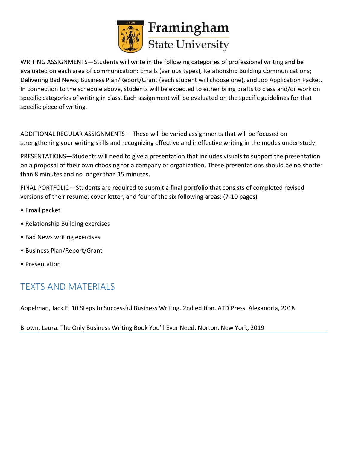

WRITING ASSIGNMENTS—Students will write in the following categories of professional writing and be evaluated on each area of communication: Emails (various types), Relationship Building Communications; Delivering Bad News; Business Plan/Report/Grant (each student will choose one), and Job Application Packet. In connection to the schedule above, students will be expected to either bring drafts to class and/or work on specific categories of writing in class. Each assignment will be evaluated on the specific guidelines for that specific piece of writing.

ADDITIONAL REGULAR ASSIGNMENTS— These will be varied assignments that will be focused on strengthening your writing skills and recognizing effective and ineffective writing in the modes under study.

PRESENTATIONS—Students will need to give a presentation that includes visuals to support the presentation on a proposal of their own choosing for a company or organization. These presentations should be no shorter than 8 minutes and no longer than 15 minutes.

FINAL PORTFOLIO—Students are required to submit a final portfolio that consists of completed revised versions of their resume, cover letter, and four of the six following areas: (7-10 pages)

- Email packet
- Relationship Building exercises
- Bad News writing exercises
- Business Plan/Report/Grant
- Presentation

# TEXTS AND MATERIALS

Appelman, Jack E. 10 Steps to Successful Business Writing. 2nd edition. ATD Press. Alexandria, 2018

Brown, Laura. The Only Business Writing Book You'll Ever Need. Norton. New York, 2019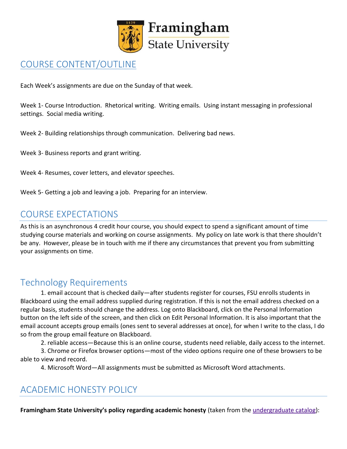

## COURSE CONTENT/OUTLINE

Each Week's assignments are due on the Sunday of that week.

Week 1- Course Introduction. Rhetorical writing. Writing emails. Using instant messaging in professional settings. Social media writing.

Week 2- Building relationships through communication. Delivering bad news.

Week 3- Business reports and grant writing.

Week 4- Resumes, cover letters, and elevator speeches.

Week 5- Getting a job and leaving a job. Preparing for an interview.

#### COURSE EXPECTATIONS

As this is an asynchronous 4 credit hour course, you should expect to spend a significant amount of time studying course materials and working on course assignments. My policy on late work is that there shouldn't be any. However, please be in touch with me if there any circumstances that prevent you from submitting your assignments on time.

## Technology Requirements

1. email account that is checked daily—after students register for courses, FSU enrolls students in Blackboard using the email address supplied during registration. If this is not the email address checked on a regular basis, students should change the address. Log onto Blackboard, click on the Personal Information button on the left side of the screen, and then click on Edit Personal Information. It is also important that the email account accepts group emails (ones sent to several addresses at once), for when I write to the class, I do so from the group email feature on Blackboard.

2. reliable access—Because this is an online course, students need reliable, daily access to the internet.

3. Chrome or Firefox browser options—most of the video options require one of these browsers to be able to view and record.

4. Microsoft Word—All assignments must be submitted as Microsoft Word attachments.

# ACADEMIC HONESTY POLICY

**Framingham State University's policy regarding academic honesty** (taken from the [undergraduate catalog\)](https://www.framingham.edu/Assets/uploads/academics/catalogs/_documents/undergraduate-catalogs/2018-2019-undergraduate-catalog/undergraduate-catalog-2018-2019.pdf):